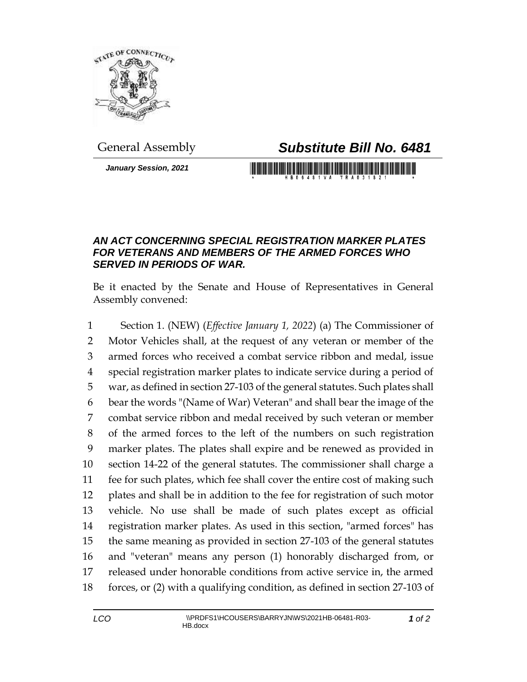

## General Assembly *Substitute Bill No. 6481*

*January Session, 2021*

## 

## *AN ACT CONCERNING SPECIAL REGISTRATION MARKER PLATES FOR VETERANS AND MEMBERS OF THE ARMED FORCES WHO SERVED IN PERIODS OF WAR.*

Be it enacted by the Senate and House of Representatives in General Assembly convened:

 Section 1. (NEW) (*Effective January 1, 2022*) (a) The Commissioner of Motor Vehicles shall, at the request of any veteran or member of the armed forces who received a combat service ribbon and medal, issue special registration marker plates to indicate service during a period of war, as defined in section 27-103 of the general statutes. Such plates shall bear the words "(Name of War) Veteran" and shall bear the image of the combat service ribbon and medal received by such veteran or member of the armed forces to the left of the numbers on such registration marker plates. The plates shall expire and be renewed as provided in section 14-22 of the general statutes. The commissioner shall charge a fee for such plates, which fee shall cover the entire cost of making such plates and shall be in addition to the fee for registration of such motor vehicle. No use shall be made of such plates except as official registration marker plates. As used in this section, "armed forces" has the same meaning as provided in section 27-103 of the general statutes and "veteran" means any person (1) honorably discharged from, or released under honorable conditions from active service in, the armed forces, or (2) with a qualifying condition, as defined in section 27-103 of